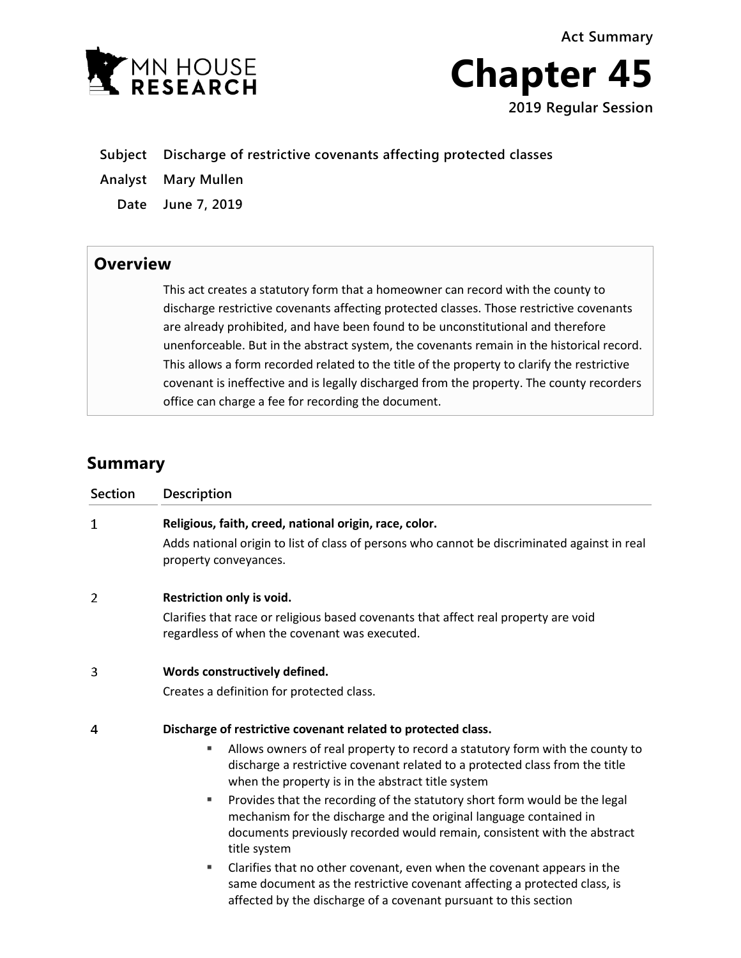**Act Summary**





- **Subject Discharge of restrictive covenants affecting protected classes**
- **Analyst Mary Mullen**
	- **Date June 7, 2019**

## **Overview**

This act creates a statutory form that a homeowner can record with the county to discharge restrictive covenants affecting protected classes. Those restrictive covenants are already prohibited, and have been found to be unconstitutional and therefore unenforceable. But in the abstract system, the covenants remain in the historical record. This allows a form recorded related to the title of the property to clarify the restrictive covenant is ineffective and is legally discharged from the property. The county recorders office can charge a fee for recording the document.

## **Summary**

| <b>Section</b> | <b>Description</b>                                                                                                                                                                                                                                                                                                                                                                                                                                                                                                                                                                                                                                                                                                                                                            |
|----------------|-------------------------------------------------------------------------------------------------------------------------------------------------------------------------------------------------------------------------------------------------------------------------------------------------------------------------------------------------------------------------------------------------------------------------------------------------------------------------------------------------------------------------------------------------------------------------------------------------------------------------------------------------------------------------------------------------------------------------------------------------------------------------------|
| 1              | Religious, faith, creed, national origin, race, color.<br>Adds national origin to list of class of persons who cannot be discriminated against in real<br>property conveyances.                                                                                                                                                                                                                                                                                                                                                                                                                                                                                                                                                                                               |
| 2              | Restriction only is void.<br>Clarifies that race or religious based covenants that affect real property are void<br>regardless of when the covenant was executed.                                                                                                                                                                                                                                                                                                                                                                                                                                                                                                                                                                                                             |
| 3              | Words constructively defined.<br>Creates a definition for protected class.                                                                                                                                                                                                                                                                                                                                                                                                                                                                                                                                                                                                                                                                                                    |
| 4              | Discharge of restrictive covenant related to protected class.<br>Allows owners of real property to record a statutory form with the county to<br>ш<br>discharge a restrictive covenant related to a protected class from the title<br>when the property is in the abstract title system<br>Provides that the recording of the statutory short form would be the legal<br>٠<br>mechanism for the discharge and the original language contained in<br>documents previously recorded would remain, consistent with the abstract<br>title system<br>Clarifies that no other covenant, even when the covenant appears in the<br>٠<br>same document as the restrictive covenant affecting a protected class, is<br>affected by the discharge of a covenant pursuant to this section |